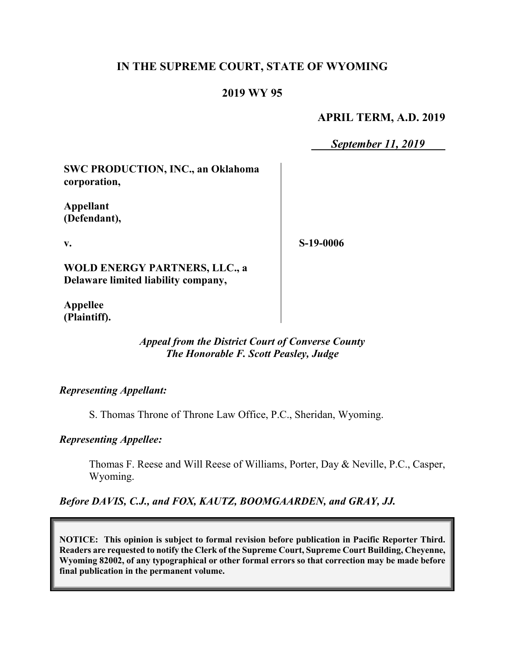# **IN THE SUPREME COURT, STATE OF WYOMING**

## **2019 WY 95**

#### **APRIL TERM, A.D. 2019**

*September 11, 2019*

**SWC PRODUCTION, INC., an Oklahoma corporation,**

**Appellant (Defendant),**

**v.**

**S-19-0006**

**WOLD ENERGY PARTNERS, LLC., a Delaware limited liability company,**

**Appellee (Plaintiff).**

## *Appeal from the District Court of Converse County The Honorable F. Scott Peasley, Judge*

#### *Representing Appellant:*

S. Thomas Throne of Throne Law Office, P.C., Sheridan, Wyoming.

#### *Representing Appellee:*

Thomas F. Reese and Will Reese of Williams, Porter, Day & Neville, P.C., Casper, Wyoming.

#### *Before DAVIS, C.J., and FOX, KAUTZ, BOOMGAARDEN, and GRAY, JJ.*

**NOTICE: This opinion is subject to formal revision before publication in Pacific Reporter Third. Readers are requested to notify the Clerk of the Supreme Court, Supreme Court Building, Cheyenne, Wyoming 82002, of any typographical or other formal errors so that correction may be made before final publication in the permanent volume.**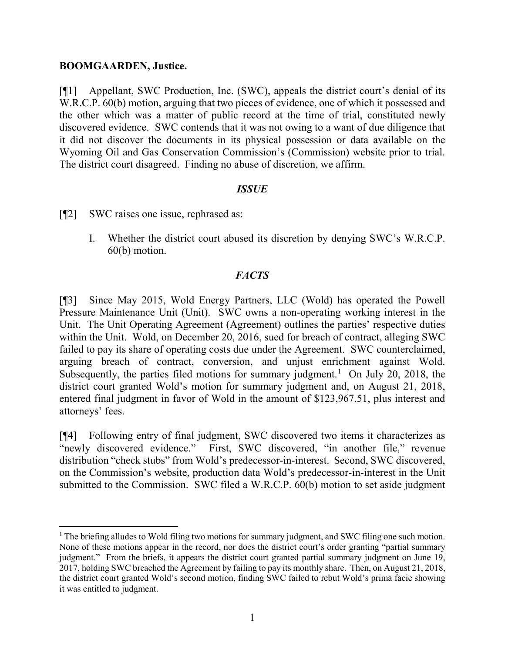#### **BOOMGAARDEN, Justice.**

[¶1] Appellant, SWC Production, Inc. (SWC), appeals the district court's denial of its W.R.C.P. 60(b) motion, arguing that two pieces of evidence, one of which it possessed and the other which was a matter of public record at the time of trial, constituted newly discovered evidence. SWC contends that it was not owing to a want of due diligence that it did not discover the documents in its physical possession or data available on the Wyoming Oil and Gas Conservation Commission's (Commission) website prior to trial. The district court disagreed. Finding no abuse of discretion, we affirm.

#### *ISSUE*

[¶2] SWC raises one issue, rephrased as:

I. Whether the district court abused its discretion by denying SWC's W.R.C.P. 60(b) motion.

### *FACTS*

[¶3] Since May 2015, Wold Energy Partners, LLC (Wold) has operated the Powell Pressure Maintenance Unit (Unit). SWC owns a non-operating working interest in the Unit. The Unit Operating Agreement (Agreement) outlines the parties' respective duties within the Unit. Wold, on December 20, 2016, sued for breach of contract, alleging SWC failed to pay its share of operating costs due under the Agreement. SWC counterclaimed, arguing breach of contract, conversion, and unjust enrichment against Wold. Subsequently, the parties filed motions for summary judgment.<sup>[1](#page-1-0)</sup> On July 20, 2018, the district court granted Wold's motion for summary judgment and, on August 21, 2018, entered final judgment in favor of Wold in the amount of \$123,967.51, plus interest and attorneys' fees.

[¶4] Following entry of final judgment, SWC discovered two items it characterizes as "newly discovered evidence." First, SWC discovered, "in another file," revenue distribution "check stubs" from Wold's predecessor-in-interest. Second, SWC discovered, on the Commission's website, production data Wold's predecessor-in-interest in the Unit submitted to the Commission. SWC filed a W.R.C.P. 60(b) motion to set aside judgment

<span id="page-1-0"></span><sup>&</sup>lt;sup>1</sup> The briefing alludes to Wold filing two motions for summary judgment, and SWC filing one such motion. None of these motions appear in the record, nor does the district court's order granting "partial summary judgment." From the briefs, it appears the district court granted partial summary judgment on June 19, 2017, holding SWC breached the Agreement by failing to pay its monthly share. Then, on August 21, 2018, the district court granted Wold's second motion, finding SWC failed to rebut Wold's prima facie showing it was entitled to judgment.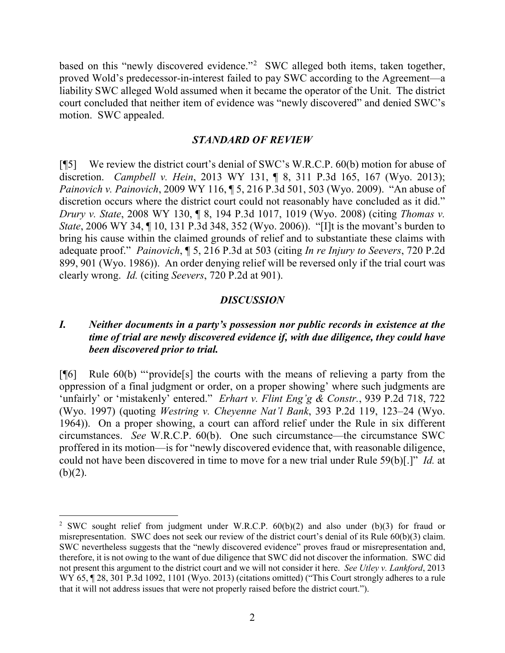based on this "newly discovered evidence."<sup>[2](#page-2-0)</sup> SWC alleged both items, taken together, proved Wold's predecessor-in-interest failed to pay SWC according to the Agreement—a liability SWC alleged Wold assumed when it became the operator of the Unit. The district court concluded that neither item of evidence was "newly discovered" and denied SWC's motion. SWC appealed.

#### *STANDARD OF REVIEW*

[¶5] We review the district court's denial of SWC's W.R.C.P. 60(b) motion for abuse of discretion. *Campbell v. Hein*, 2013 WY 131, ¶ 8, 311 P.3d 165, 167 (Wyo. 2013); *Painovich v. Painovich*, 2009 WY 116, ¶ 5, 216 P.3d 501, 503 (Wyo. 2009). "An abuse of discretion occurs where the district court could not reasonably have concluded as it did." *Drury v. State*, 2008 WY 130, ¶ 8, 194 P.3d 1017, 1019 (Wyo. 2008) (citing *Thomas v. State*, 2006 WY 34, ¶ 10, 131 P.3d 348, 352 (Wyo. 2006)). "[I]t is the movant's burden to bring his cause within the claimed grounds of relief and to substantiate these claims with adequate proof." *Painovich*, ¶ 5, 216 P.3d at 503 (citing *In re Injury to Seevers*, 720 P.2d 899, 901 (Wyo. 1986)). An order denying relief will be reversed only if the trial court was clearly wrong. *Id.* (citing *Seevers*, 720 P.2d at 901).

### *DISCUSSION*

## *I. Neither documents in a party's possession nor public records in existence at the time of trial are newly discovered evidence if, with due diligence, they could have been discovered prior to trial.*

[¶6] Rule 60(b) "'provide[s] the courts with the means of relieving a party from the oppression of a final judgment or order, on a proper showing' where such judgments are 'unfairly' or 'mistakenly' entered." *Erhart v. Flint Eng'g & Constr.*, 939 P.2d 718, 722 (Wyo. 1997) (quoting *Westring v. Cheyenne Nat'l Bank*, 393 P.2d 119, 123–24 (Wyo. 1964)). On a proper showing, a court can afford relief under the Rule in six different circumstances. *See* W.R.C.P. 60(b). One such circumstance—the circumstance SWC proffered in its motion—is for "newly discovered evidence that, with reasonable diligence, could not have been discovered in time to move for a new trial under Rule 59(b)[.]" *Id.* at  $(b)(2)$ .

<span id="page-2-0"></span><sup>&</sup>lt;sup>2</sup> SWC sought relief from judgment under W.R.C.P.  $60(b)(2)$  and also under (b)(3) for fraud or misrepresentation. SWC does not seek our review of the district court's denial of its Rule 60(b)(3) claim. SWC nevertheless suggests that the "newly discovered evidence" proves fraud or misrepresentation and, therefore, it is not owing to the want of due diligence that SWC did not discover the information. SWC did not present this argument to the district court and we will not consider it here. *See Utley v. Lankford*, 2013 WY 65,  $\parallel$  28, 301 P.3d 1092, 1101 (Wyo. 2013) (citations omitted) ("This Court strongly adheres to a rule that it will not address issues that were not properly raised before the district court.").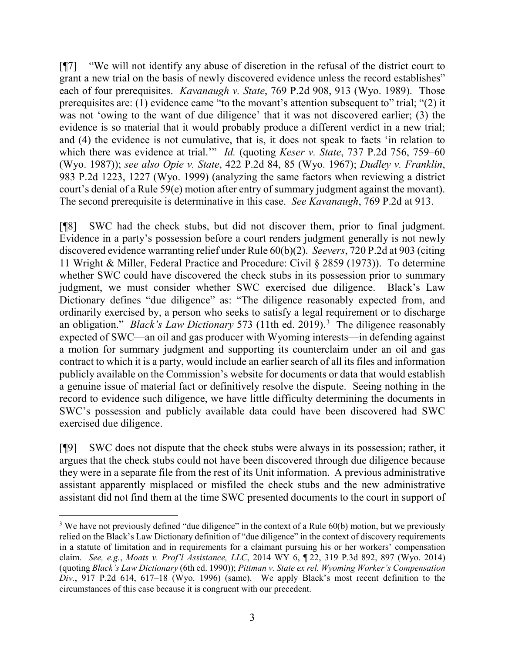[¶7] "We will not identify any abuse of discretion in the refusal of the district court to grant a new trial on the basis of newly discovered evidence unless the record establishes" each of four prerequisites. *Kavanaugh v. State*, 769 P.2d 908, 913 (Wyo. 1989). Those prerequisites are: (1) evidence came "to the movant's attention subsequent to" trial; "(2) it was not 'owing to the want of due diligence' that it was not discovered earlier; (3) the evidence is so material that it would probably produce a different verdict in a new trial; and (4) the evidence is not cumulative, that is, it does not speak to facts 'in relation to which there was evidence at trial.'" *Id.* (quoting *Keser v. State*, 737 P.2d 756, 759–60 (Wyo. 1987)); *see also Opie v. State*, 422 P.2d 84, 85 (Wyo. 1967); *Dudley v. Franklin*, 983 P.2d 1223, 1227 (Wyo. 1999) (analyzing the same factors when reviewing a district court's denial of a Rule 59(e) motion after entry of summary judgment against the movant). The second prerequisite is determinative in this case. *See Kavanaugh*, 769 P.2d at 913.

[¶8] SWC had the check stubs, but did not discover them, prior to final judgment. Evidence in a party's possession before a court renders judgment generally is not newly discovered evidence warranting relief under Rule 60(b)(2). *Seevers*, 720 P.2d at 903 (citing 11 Wright & Miller, Federal Practice and Procedure: Civil § 2859 (1973)). To determine whether SWC could have discovered the check stubs in its possession prior to summary judgment, we must consider whether SWC exercised due diligence. Black's Law Dictionary defines "due diligence" as: "The diligence reasonably expected from, and ordinarily exercised by, a person who seeks to satisfy a legal requirement or to discharge an obligation." *Black's Law Dictionary* 573 (11th ed. 2019). [3](#page-3-0) The diligence reasonably expected of SWC—an oil and gas producer with Wyoming interests—in defending against a motion for summary judgment and supporting its counterclaim under an oil and gas contract to which it is a party, would include an earlier search of all its files and information publicly available on the Commission's website for documents or data that would establish a genuine issue of material fact or definitively resolve the dispute. Seeing nothing in the record to evidence such diligence, we have little difficulty determining the documents in SWC's possession and publicly available data could have been discovered had SWC exercised due diligence.

[¶9] SWC does not dispute that the check stubs were always in its possession; rather, it argues that the check stubs could not have been discovered through due diligence because they were in a separate file from the rest of its Unit information. A previous administrative assistant apparently misplaced or misfiled the check stubs and the new administrative assistant did not find them at the time SWC presented documents to the court in support of

<span id="page-3-0"></span><sup>&</sup>lt;sup>3</sup> We have not previously defined "due diligence" in the context of a Rule 60(b) motion, but we previously relied on the Black's Law Dictionary definition of "due diligence" in the context of discovery requirements in a statute of limitation and in requirements for a claimant pursuing his or her workers' compensation claim. *See, e.g.*, *Moats v. Prof'l Assistance, LLC*, 2014 WY 6, ¶ 22, 319 P.3d 892, 897 (Wyo. 2014) (quoting *Black's Law Dictionary* (6th ed. 1990)); *Pittman v. State ex rel. Wyoming Worker's Compensation Div.*, 917 P.2d 614, 617–18 (Wyo. 1996) (same). We apply Black's most recent definition to the circumstances of this case because it is congruent with our precedent.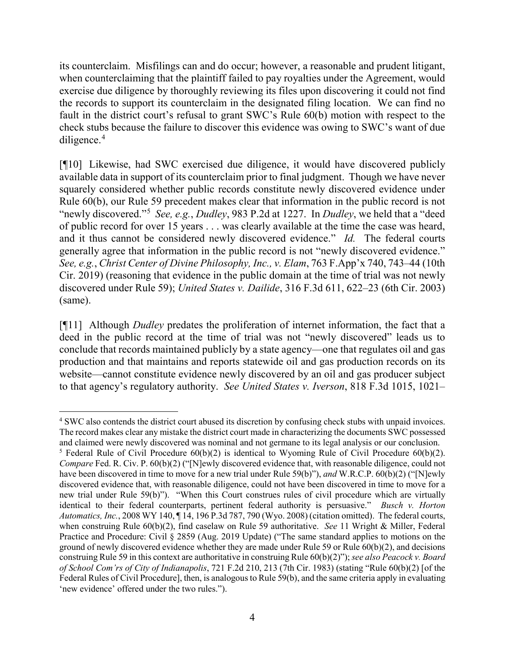its counterclaim. Misfilings can and do occur; however, a reasonable and prudent litigant, when counterclaiming that the plaintiff failed to pay royalties under the Agreement, would exercise due diligence by thoroughly reviewing its files upon discovering it could not find the records to support its counterclaim in the designated filing location. We can find no fault in the district court's refusal to grant SWC's Rule 60(b) motion with respect to the check stubs because the failure to discover this evidence was owing to SWC's want of due diligence. [4](#page-4-0)

[¶10] Likewise, had SWC exercised due diligence, it would have discovered publicly available data in support of its counterclaim prior to final judgment. Though we have never squarely considered whether public records constitute newly discovered evidence under Rule 60(b), our Rule 59 precedent makes clear that information in the public record is not "newly discovered."[5](#page-4-1) *See, e.g.*, *Dudley*, 983 P.2d at 1227. In *Dudley*, we held that a "deed of public record for over 15 years . . . was clearly available at the time the case was heard, and it thus cannot be considered newly discovered evidence." *Id.* The federal courts generally agree that information in the public record is not "newly discovered evidence." *See, e.g.*, *Christ Center of Divine Philosophy, Inc., v. Elam*, 763 F.App'x 740, 743–44 (10th Cir. 2019) (reasoning that evidence in the public domain at the time of trial was not newly discovered under Rule 59); *United States v. Dailide*, 316 F.3d 611, 622–23 (6th Cir. 2003) (same).

[¶11] Although *Dudley* predates the proliferation of internet information, the fact that a deed in the public record at the time of trial was not "newly discovered" leads us to conclude that records maintained publicly by a state agency—one that regulates oil and gas production and that maintains and reports statewide oil and gas production records on its website—cannot constitute evidence newly discovered by an oil and gas producer subject to that agency's regulatory authority. *See United States v. Iverson*, 818 F.3d 1015, 1021–

<span id="page-4-0"></span><sup>&</sup>lt;sup>4</sup> SWC also contends the district court abused its discretion by confusing check stubs with unpaid invoices. The record makes clear any mistake the district court made in characterizing the documents SWC possessed and claimed were newly discovered was nominal and not germane to its legal analysis or our conclusion.

<span id="page-4-1"></span><sup>&</sup>lt;sup>5</sup> Federal Rule of Civil Procedure  $60(b)(2)$  is identical to Wyoming Rule of Civil Procedure  $60(b)(2)$ . *Compare* Fed. R. Civ. P. 60(b)(2) ("[N]ewly discovered evidence that, with reasonable diligence, could not have been discovered in time to move for a new trial under Rule 59(b)"), *and* W.R.C.P. 60(b)(2) ("[N]ewly discovered evidence that, with reasonable diligence, could not have been discovered in time to move for a new trial under Rule 59(b)"). "When this Court construes rules of civil procedure which are virtually identical to their federal counterparts, pertinent federal authority is persuasive." *Busch v. Horton Automatics, Inc.*, 2008 WY 140, ¶ 14, 196 P.3d 787, 790 (Wyo. 2008) (citation omitted). The federal courts, when construing Rule 60(b)(2), find caselaw on Rule 59 authoritative. *See* 11 Wright & Miller, Federal Practice and Procedure: Civil § 2859 (Aug. 2019 Update) ("The same standard applies to motions on the ground of newly discovered evidence whether they are made under Rule 59 or Rule 60(b)(2), and decisions construing Rule 59 in this context are authoritative in construing Rule 60(b)(2)"); *see also Peacock v. Board of School Com'rs of City of Indianapolis*, 721 F.2d 210, 213 (7th Cir. 1983) (stating "Rule 60(b)(2) [of the Federal Rules of Civil Procedure], then, is analogous to Rule 59(b), and the same criteria apply in evaluating 'new evidence' offered under the two rules.").